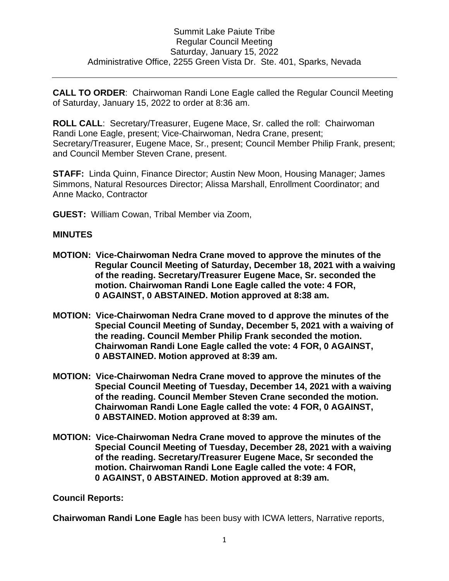**CALL TO ORDER**: Chairwoman Randi Lone Eagle called the Regular Council Meeting of Saturday, January 15, 2022 to order at 8:36 am.

**ROLL CALL**: Secretary/Treasurer, Eugene Mace, Sr. called the roll: Chairwoman Randi Lone Eagle, present; Vice-Chairwoman, Nedra Crane, present; Secretary/Treasurer, Eugene Mace, Sr., present; Council Member Philip Frank, present; and Council Member Steven Crane, present.

**STAFF:** Linda Quinn, Finance Director; Austin New Moon, Housing Manager; James Simmons, Natural Resources Director; Alissa Marshall, Enrollment Coordinator; and Anne Macko, Contractor

**GUEST:** William Cowan, Tribal Member via Zoom,

## **MINUTES**

- **MOTION: Vice-Chairwoman Nedra Crane moved to approve the minutes of the Regular Council Meeting of Saturday, December 18, 2021 with a waiving of the reading. Secretary/Treasurer Eugene Mace, Sr. seconded the motion. Chairwoman Randi Lone Eagle called the vote: 4 FOR, 0 AGAINST, 0 ABSTAINED. Motion approved at 8:38 am.**
- **MOTION: Vice-Chairwoman Nedra Crane moved to d approve the minutes of the Special Council Meeting of Sunday, December 5, 2021 with a waiving of the reading. Council Member Philip Frank seconded the motion. Chairwoman Randi Lone Eagle called the vote: 4 FOR, 0 AGAINST, 0 ABSTAINED. Motion approved at 8:39 am.**
- **MOTION: Vice-Chairwoman Nedra Crane moved to approve the minutes of the Special Council Meeting of Tuesday, December 14, 2021 with a waiving of the reading. Council Member Steven Crane seconded the motion. Chairwoman Randi Lone Eagle called the vote: 4 FOR, 0 AGAINST, 0 ABSTAINED. Motion approved at 8:39 am.**
- **MOTION: Vice-Chairwoman Nedra Crane moved to approve the minutes of the Special Council Meeting of Tuesday, December 28, 2021 with a waiving of the reading. Secretary/Treasurer Eugene Mace, Sr seconded the motion. Chairwoman Randi Lone Eagle called the vote: 4 FOR, 0 AGAINST, 0 ABSTAINED. Motion approved at 8:39 am.**

## **Council Reports:**

**Chairwoman Randi Lone Eagle** has been busy with ICWA letters, Narrative reports,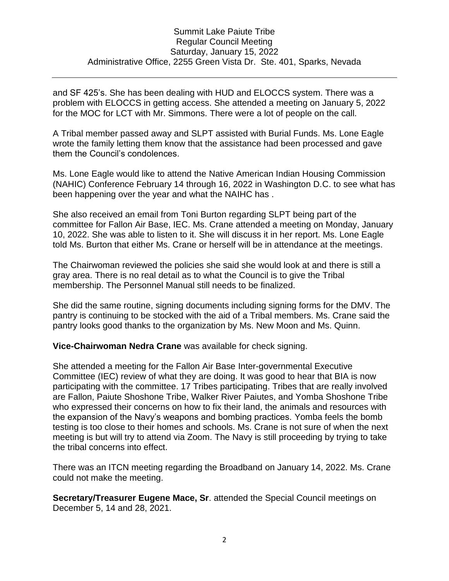and SF 425's. She has been dealing with HUD and ELOCCS system. There was a problem with ELOCCS in getting access. She attended a meeting on January 5, 2022 for the MOC for LCT with Mr. Simmons. There were a lot of people on the call.

A Tribal member passed away and SLPT assisted with Burial Funds. Ms. Lone Eagle wrote the family letting them know that the assistance had been processed and gave them the Council's condolences.

Ms. Lone Eagle would like to attend the Native American Indian Housing Commission (NAHIC) Conference February 14 through 16, 2022 in Washington D.C. to see what has been happening over the year and what the NAIHC has .

She also received an email from Toni Burton regarding SLPT being part of the committee for Fallon Air Base, IEC. Ms. Crane attended a meeting on Monday, January 10, 2022. She was able to listen to it. She will discuss it in her report. Ms. Lone Eagle told Ms. Burton that either Ms. Crane or herself will be in attendance at the meetings.

The Chairwoman reviewed the policies she said she would look at and there is still a gray area. There is no real detail as to what the Council is to give the Tribal membership. The Personnel Manual still needs to be finalized.

She did the same routine, signing documents including signing forms for the DMV. The pantry is continuing to be stocked with the aid of a Tribal members. Ms. Crane said the pantry looks good thanks to the organization by Ms. New Moon and Ms. Quinn.

**Vice-Chairwoman Nedra Crane** was available for check signing.

She attended a meeting for the Fallon Air Base Inter-governmental Executive Committee (IEC) review of what they are doing. It was good to hear that BIA is now participating with the committee. 17 Tribes participating. Tribes that are really involved are Fallon, Paiute Shoshone Tribe, Walker River Paiutes, and Yomba Shoshone Tribe who expressed their concerns on how to fix their land, the animals and resources with the expansion of the Navy's weapons and bombing practices. Yomba feels the bomb testing is too close to their homes and schools. Ms. Crane is not sure of when the next meeting is but will try to attend via Zoom. The Navy is still proceeding by trying to take the tribal concerns into effect.

There was an ITCN meeting regarding the Broadband on January 14, 2022. Ms. Crane could not make the meeting.

**Secretary/Treasurer Eugene Mace, Sr**. attended the Special Council meetings on December 5, 14 and 28, 2021.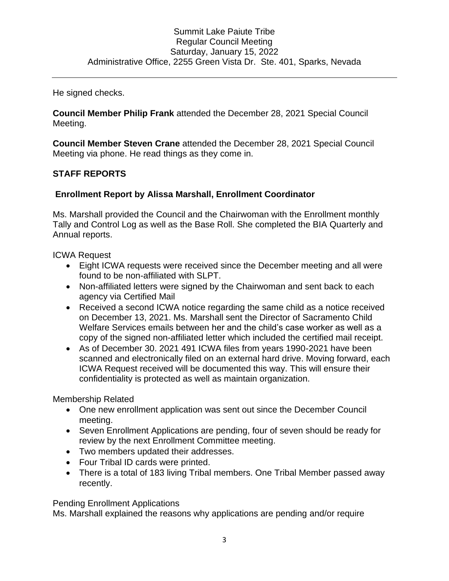He signed checks.

**Council Member Philip Frank** attended the December 28, 2021 Special Council Meeting.

**Council Member Steven Crane** attended the December 28, 2021 Special Council Meeting via phone. He read things as they come in.

# **STAFF REPORTS**

## **Enrollment Report by Alissa Marshall, Enrollment Coordinator**

Ms. Marshall provided the Council and the Chairwoman with the Enrollment monthly Tally and Control Log as well as the Base Roll. She completed the BIA Quarterly and Annual reports.

ICWA Request

- Eight ICWA requests were received since the December meeting and all were found to be non-affiliated with SLPT.
- Non-affiliated letters were signed by the Chairwoman and sent back to each agency via Certified Mail
- Received a second ICWA notice regarding the same child as a notice received on December 13, 2021. Ms. Marshall sent the Director of Sacramento Child Welfare Services emails between her and the child's case worker as well as a copy of the signed non-affiliated letter which included the certified mail receipt.
- As of December 30. 2021 491 ICWA files from years 1990-2021 have been scanned and electronically filed on an external hard drive. Moving forward, each ICWA Request received will be documented this way. This will ensure their confidentiality is protected as well as maintain organization.

Membership Related

- One new enrollment application was sent out since the December Council meeting.
- Seven Enrollment Applications are pending, four of seven should be ready for review by the next Enrollment Committee meeting.
- Two members updated their addresses.
- Four Tribal ID cards were printed.
- There is a total of 183 living Tribal members. One Tribal Member passed away recently.

Pending Enrollment Applications

Ms. Marshall explained the reasons why applications are pending and/or require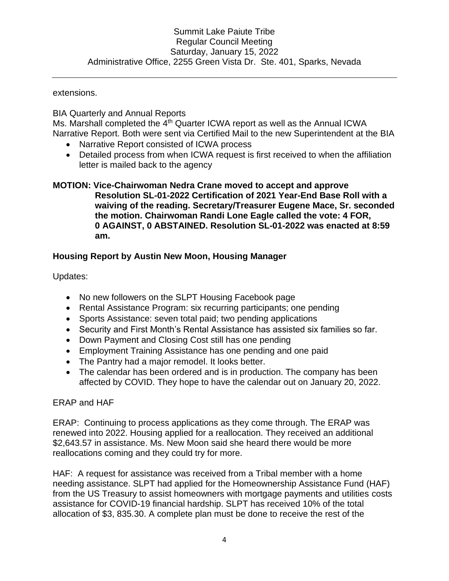extensions.

## BIA Quarterly and Annual Reports

Ms. Marshall completed the 4<sup>th</sup> Quarter ICWA report as well as the Annual ICWA Narrative Report. Both were sent via Certified Mail to the new Superintendent at the BIA

- Narrative Report consisted of ICWA process
- Detailed process from when ICWA request is first received to when the affiliation letter is mailed back to the agency

## **MOTION: Vice-Chairwoman Nedra Crane moved to accept and approve Resolution SL-01-2022 Certification of 2021 Year-End Base Roll with a waiving of the reading. Secretary/Treasurer Eugene Mace, Sr. seconded the motion. Chairwoman Randi Lone Eagle called the vote: 4 FOR, 0 AGAINST, 0 ABSTAINED. Resolution SL-01-2022 was enacted at 8:59 am.**

# **Housing Report by Austin New Moon, Housing Manager**

Updates:

- No new followers on the SLPT Housing Facebook page
- Rental Assistance Program: six recurring participants; one pending
- Sports Assistance: seven total paid; two pending applications
- Security and First Month's Rental Assistance has assisted six families so far.
- Down Payment and Closing Cost still has one pending
- Employment Training Assistance has one pending and one paid
- The Pantry had a major remodel. It looks better.
- The calendar has been ordered and is in production. The company has been affected by COVID. They hope to have the calendar out on January 20, 2022.

## ERAP and HAF

ERAP: Continuing to process applications as they come through. The ERAP was renewed into 2022. Housing applied for a reallocation. They received an additional \$2,643.57 in assistance. Ms. New Moon said she heard there would be more reallocations coming and they could try for more.

HAF: A request for assistance was received from a Tribal member with a home needing assistance. SLPT had applied for the Homeownership Assistance Fund (HAF) from the US Treasury to assist homeowners with mortgage payments and utilities costs assistance for COVID-19 financial hardship. SLPT has received 10% of the total allocation of \$3, 835.30. A complete plan must be done to receive the rest of the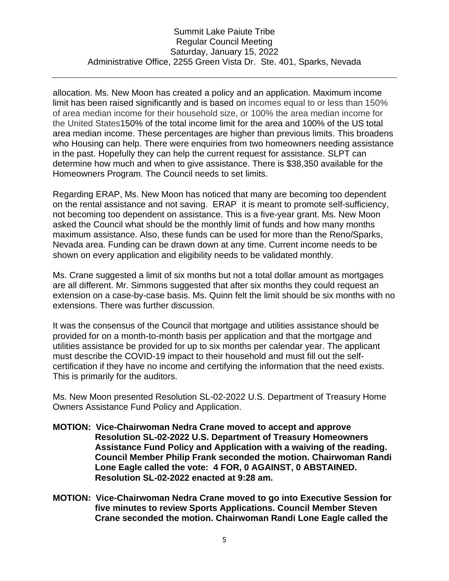allocation. Ms. New Moon has created a policy and an application. Maximum income limit has been raised significantly and is based on incomes equal to or less than 150% of area median income for their household size, or 100% the area median income for the United States150% of the total income limit for the area and 100% of the US total area median income. These percentages are higher than previous limits. This broadens who Housing can help. There were enquiries from two homeowners needing assistance in the past. Hopefully they can help the current request for assistance. SLPT can determine how much and when to give assistance. There is \$38,350 available for the Homeowners Program. The Council needs to set limits.

Regarding ERAP, Ms. New Moon has noticed that many are becoming too dependent on the rental assistance and not saving. ERAP it is meant to promote self-sufficiency, not becoming too dependent on assistance. This is a five-year grant. Ms. New Moon asked the Council what should be the monthly limit of funds and how many months maximum assistance. Also, these funds can be used for more than the Reno/Sparks, Nevada area. Funding can be drawn down at any time. Current income needs to be shown on every application and eligibility needs to be validated monthly.

Ms. Crane suggested a limit of six months but not a total dollar amount as mortgages are all different. Mr. Simmons suggested that after six months they could request an extension on a case-by-case basis. Ms. Quinn felt the limit should be six months with no extensions. There was further discussion.

It was the consensus of the Council that mortgage and utilities assistance should be provided for on a month-to-month basis per application and that the mortgage and utilities assistance be provided for up to six months per calendar year. The applicant must describe the COVID-19 impact to their household and must fill out the selfcertification if they have no income and certifying the information that the need exists. This is primarily for the auditors.

Ms. New Moon presented Resolution SL-02-2022 U.S. Department of Treasury Home Owners Assistance Fund Policy and Application.

- **MOTION: Vice-Chairwoman Nedra Crane moved to accept and approve Resolution SL-02-2022 U.S. Department of Treasury Homeowners Assistance Fund Policy and Application with a waiving of the reading. Council Member Philip Frank seconded the motion. Chairwoman Randi Lone Eagle called the vote: 4 FOR, 0 AGAINST, 0 ABSTAINED. Resolution SL-02-2022 enacted at 9:28 am.**
- **MOTION: Vice-Chairwoman Nedra Crane moved to go into Executive Session for five minutes to review Sports Applications. Council Member Steven Crane seconded the motion. Chairwoman Randi Lone Eagle called the**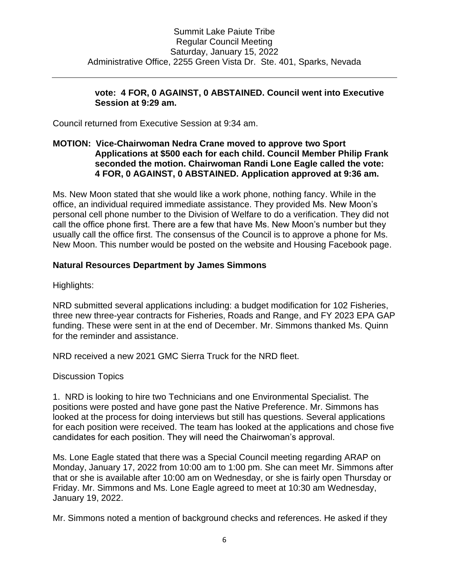## **vote: 4 FOR, 0 AGAINST, 0 ABSTAINED. Council went into Executive Session at 9:29 am.**

Council returned from Executive Session at 9:34 am.

## **MOTION: Vice-Chairwoman Nedra Crane moved to approve two Sport Applications at \$500 each for each child. Council Member Philip Frank seconded the motion. Chairwoman Randi Lone Eagle called the vote: 4 FOR, 0 AGAINST, 0 ABSTAINED. Application approved at 9:36 am.**

Ms. New Moon stated that she would like a work phone, nothing fancy. While in the office, an individual required immediate assistance. They provided Ms. New Moon's personal cell phone number to the Division of Welfare to do a verification. They did not call the office phone first. There are a few that have Ms. New Moon's number but they usually call the office first. The consensus of the Council is to approve a phone for Ms. New Moon. This number would be posted on the website and Housing Facebook page.

## **Natural Resources Department by James Simmons**

Highlights:

NRD submitted several applications including: a budget modification for 102 Fisheries, three new three-year contracts for Fisheries, Roads and Range, and FY 2023 EPA GAP funding. These were sent in at the end of December. Mr. Simmons thanked Ms. Quinn for the reminder and assistance.

NRD received a new 2021 GMC Sierra Truck for the NRD fleet.

Discussion Topics

1. NRD is looking to hire two Technicians and one Environmental Specialist. The positions were posted and have gone past the Native Preference. Mr. Simmons has looked at the process for doing interviews but still has questions. Several applications for each position were received. The team has looked at the applications and chose five candidates for each position. They will need the Chairwoman's approval.

Ms. Lone Eagle stated that there was a Special Council meeting regarding ARAP on Monday, January 17, 2022 from 10:00 am to 1:00 pm. She can meet Mr. Simmons after that or she is available after 10:00 am on Wednesday, or she is fairly open Thursday or Friday. Mr. Simmons and Ms. Lone Eagle agreed to meet at 10:30 am Wednesday, January 19, 2022.

Mr. Simmons noted a mention of background checks and references. He asked if they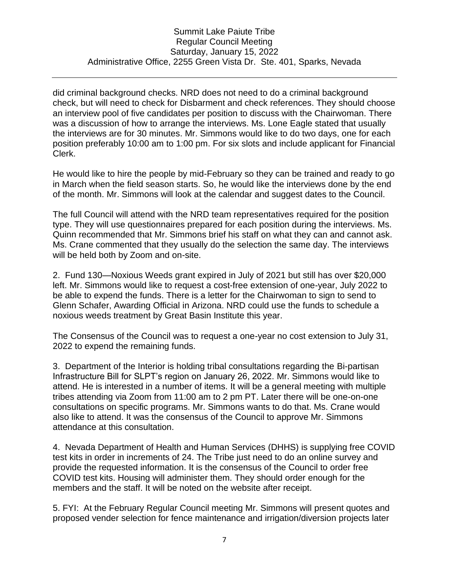did criminal background checks. NRD does not need to do a criminal background check, but will need to check for Disbarment and check references. They should choose an interview pool of five candidates per position to discuss with the Chairwoman. There was a discussion of how to arrange the interviews. Ms. Lone Eagle stated that usually the interviews are for 30 minutes. Mr. Simmons would like to do two days, one for each position preferably 10:00 am to 1:00 pm. For six slots and include applicant for Financial Clerk.

He would like to hire the people by mid-February so they can be trained and ready to go in March when the field season starts. So, he would like the interviews done by the end of the month. Mr. Simmons will look at the calendar and suggest dates to the Council.

The full Council will attend with the NRD team representatives required for the position type. They will use questionnaires prepared for each position during the interviews. Ms. Quinn recommended that Mr. Simmons brief his staff on what they can and cannot ask. Ms. Crane commented that they usually do the selection the same day. The interviews will be held both by Zoom and on-site.

2. Fund 130—Noxious Weeds grant expired in July of 2021 but still has over \$20,000 left. Mr. Simmons would like to request a cost-free extension of one-year, July 2022 to be able to expend the funds. There is a letter for the Chairwoman to sign to send to Glenn Schafer, Awarding Official in Arizona. NRD could use the funds to schedule a noxious weeds treatment by Great Basin Institute this year.

The Consensus of the Council was to request a one-year no cost extension to July 31, 2022 to expend the remaining funds.

3. Department of the Interior is holding tribal consultations regarding the Bi-partisan Infrastructure Bill for SLPT's region on January 26, 2022. Mr. Simmons would like to attend. He is interested in a number of items. It will be a general meeting with multiple tribes attending via Zoom from 11:00 am to 2 pm PT. Later there will be one-on-one consultations on specific programs. Mr. Simmons wants to do that. Ms. Crane would also like to attend. It was the consensus of the Council to approve Mr. Simmons attendance at this consultation.

4. Nevada Department of Health and Human Services (DHHS) is supplying free COVID test kits in order in increments of 24. The Tribe just need to do an online survey and provide the requested information. It is the consensus of the Council to order free COVID test kits. Housing will administer them. They should order enough for the members and the staff. It will be noted on the website after receipt.

5. FYI: At the February Regular Council meeting Mr. Simmons will present quotes and proposed vender selection for fence maintenance and irrigation/diversion projects later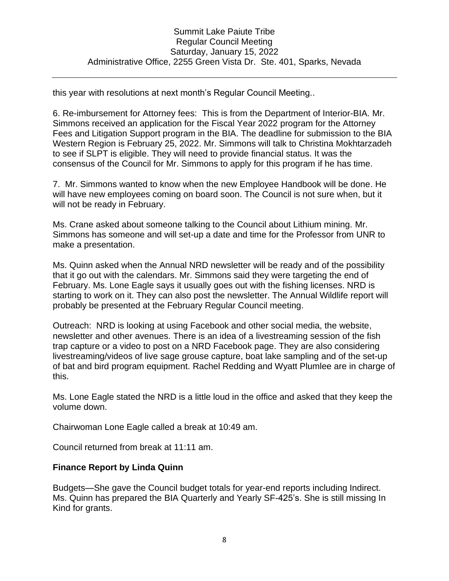this year with resolutions at next month's Regular Council Meeting..

6. Re-imbursement for Attorney fees: This is from the Department of Interior-BIA. Mr. Simmons received an application for the Fiscal Year 2022 program for the Attorney Fees and Litigation Support program in the BIA. The deadline for submission to the BIA Western Region is February 25, 2022. Mr. Simmons will talk to Christina Mokhtarzadeh to see if SLPT is eligible. They will need to provide financial status. It was the consensus of the Council for Mr. Simmons to apply for this program if he has time.

7. Mr. Simmons wanted to know when the new Employee Handbook will be done. He will have new employees coming on board soon. The Council is not sure when, but it will not be ready in February.

Ms. Crane asked about someone talking to the Council about Lithium mining. Mr. Simmons has someone and will set-up a date and time for the Professor from UNR to make a presentation.

Ms. Quinn asked when the Annual NRD newsletter will be ready and of the possibility that it go out with the calendars. Mr. Simmons said they were targeting the end of February. Ms. Lone Eagle says it usually goes out with the fishing licenses. NRD is starting to work on it. They can also post the newsletter. The Annual Wildlife report will probably be presented at the February Regular Council meeting.

Outreach: NRD is looking at using Facebook and other social media, the website, newsletter and other avenues. There is an idea of a livestreaming session of the fish trap capture or a video to post on a NRD Facebook page. They are also considering livestreaming/videos of live sage grouse capture, boat lake sampling and of the set-up of bat and bird program equipment. Rachel Redding and Wyatt Plumlee are in charge of this.

Ms. Lone Eagle stated the NRD is a little loud in the office and asked that they keep the volume down.

Chairwoman Lone Eagle called a break at 10:49 am.

Council returned from break at 11:11 am.

### **Finance Report by Linda Quinn**

Budgets—She gave the Council budget totals for year-end reports including Indirect. Ms. Quinn has prepared the BIA Quarterly and Yearly SF-425's. She is still missing In Kind for grants.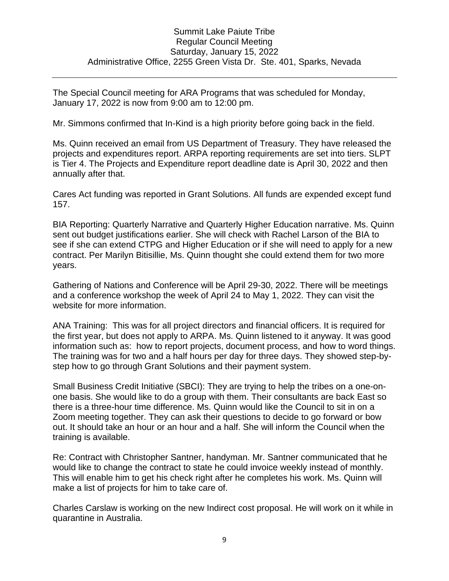The Special Council meeting for ARA Programs that was scheduled for Monday, January 17, 2022 is now from 9:00 am to 12:00 pm.

Mr. Simmons confirmed that In-Kind is a high priority before going back in the field.

Ms. Quinn received an email from US Department of Treasury. They have released the projects and expenditures report. ARPA reporting requirements are set into tiers. SLPT is Tier 4. The Projects and Expenditure report deadline date is April 30, 2022 and then annually after that.

Cares Act funding was reported in Grant Solutions. All funds are expended except fund 157.

BIA Reporting: Quarterly Narrative and Quarterly Higher Education narrative. Ms. Quinn sent out budget justifications earlier. She will check with Rachel Larson of the BIA to see if she can extend CTPG and Higher Education or if she will need to apply for a new contract. Per Marilyn Bitisillie, Ms. Quinn thought she could extend them for two more years.

Gathering of Nations and Conference will be April 29-30, 2022. There will be meetings and a conference workshop the week of April 24 to May 1, 2022. They can visit the website for more information.

ANA Training: This was for all project directors and financial officers. It is required for the first year, but does not apply to ARPA. Ms. Quinn listened to it anyway. It was good information such as: how to report projects, document process, and how to word things. The training was for two and a half hours per day for three days. They showed step-bystep how to go through Grant Solutions and their payment system.

Small Business Credit Initiative (SBCI): They are trying to help the tribes on a one-onone basis. She would like to do a group with them. Their consultants are back East so there is a three-hour time difference. Ms. Quinn would like the Council to sit in on a Zoom meeting together. They can ask their questions to decide to go forward or bow out. It should take an hour or an hour and a half. She will inform the Council when the training is available.

Re: Contract with Christopher Santner, handyman. Mr. Santner communicated that he would like to change the contract to state he could invoice weekly instead of monthly. This will enable him to get his check right after he completes his work. Ms. Quinn will make a list of projects for him to take care of.

Charles Carslaw is working on the new Indirect cost proposal. He will work on it while in quarantine in Australia.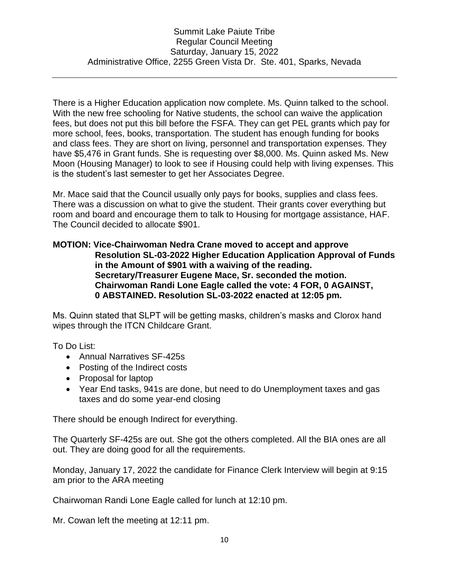There is a Higher Education application now complete. Ms. Quinn talked to the school. With the new free schooling for Native students, the school can waive the application fees, but does not put this bill before the FSFA. They can get PEL grants which pay for more school, fees, books, transportation. The student has enough funding for books and class fees. They are short on living, personnel and transportation expenses. They have \$5,476 in Grant funds. She is requesting over \$8,000. Ms. Quinn asked Ms. New Moon (Housing Manager) to look to see if Housing could help with living expenses. This is the student's last semester to get her Associates Degree.

Mr. Mace said that the Council usually only pays for books, supplies and class fees. There was a discussion on what to give the student. Their grants cover everything but room and board and encourage them to talk to Housing for mortgage assistance, HAF. The Council decided to allocate \$901.

#### **MOTION: Vice-Chairwoman Nedra Crane moved to accept and approve Resolution SL-03-2022 Higher Education Application Approval of Funds in the Amount of \$901 with a waiving of the reading. Secretary/Treasurer Eugene Mace, Sr. seconded the motion. Chairwoman Randi Lone Eagle called the vote: 4 FOR, 0 AGAINST, 0 ABSTAINED. Resolution SL-03-2022 enacted at 12:05 pm.**

Ms. Quinn stated that SLPT will be getting masks, children's masks and Clorox hand wipes through the ITCN Childcare Grant.

To Do List:

- Annual Narratives SF-425s
- Posting of the Indirect costs
- Proposal for laptop
- Year End tasks, 941s are done, but need to do Unemployment taxes and gas taxes and do some year-end closing

There should be enough Indirect for everything.

The Quarterly SF-425s are out. She got the others completed. All the BIA ones are all out. They are doing good for all the requirements.

Monday, January 17, 2022 the candidate for Finance Clerk Interview will begin at 9:15 am prior to the ARA meeting

Chairwoman Randi Lone Eagle called for lunch at 12:10 pm.

Mr. Cowan left the meeting at 12:11 pm.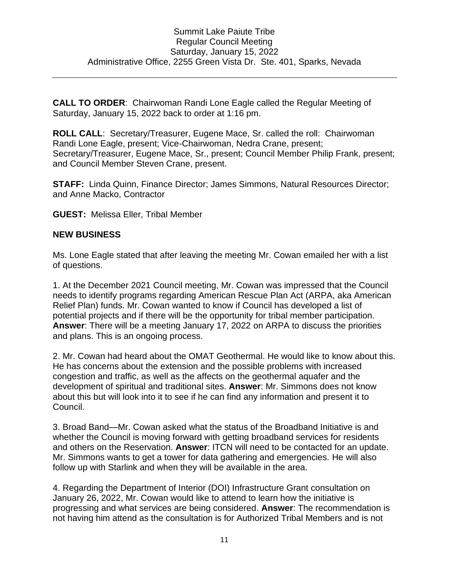**CALL TO ORDER**: Chairwoman Randi Lone Eagle called the Regular Meeting of Saturday, January 15, 2022 back to order at 1:16 pm.

**ROLL CALL**: Secretary/Treasurer, Eugene Mace, Sr. called the roll: Chairwoman Randi Lone Eagle, present; Vice-Chairwoman, Nedra Crane, present; Secretary/Treasurer, Eugene Mace, Sr., present; Council Member Philip Frank, present; and Council Member Steven Crane, present.

**STAFF:** Linda Quinn, Finance Director; James Simmons, Natural Resources Director; and Anne Macko, Contractor

**GUEST:** Melissa Eller, Tribal Member

#### **NEW BUSINESS**

Ms. Lone Eagle stated that after leaving the meeting Mr. Cowan emailed her with a list of questions.

1. At the December 2021 Council meeting, Mr. Cowan was impressed that the Council needs to identify programs regarding American Rescue Plan Act (ARPA, aka American Relief Plan) funds. Mr. Cowan wanted to know if Council has developed a list of potential projects and if there will be the opportunity for tribal member participation. **Answer**: There will be a meeting January 17, 2022 on ARPA to discuss the priorities and plans. This is an ongoing process.

2. Mr. Cowan had heard about the OMAT Geothermal. He would like to know about this. He has concerns about the extension and the possible problems with increased congestion and traffic, as well as the affects on the geothermal aquafer and the development of spiritual and traditional sites. **Answer**: Mr. Simmons does not know about this but will look into it to see if he can find any information and present it to Council.

3. Broad Band—Mr. Cowan asked what the status of the Broadband Initiative is and whether the Council is moving forward with getting broadband services for residents and others on the Reservation. **Answer**: ITCN will need to be contacted for an update. Mr. Simmons wants to get a tower for data gathering and emergencies. He will also follow up with Starlink and when they will be available in the area.

4. Regarding the Department of Interior (DOI) Infrastructure Grant consultation on January 26, 2022, Mr. Cowan would like to attend to learn how the initiative is progressing and what services are being considered. **Answer**: The recommendation is not having him attend as the consultation is for Authorized Tribal Members and is not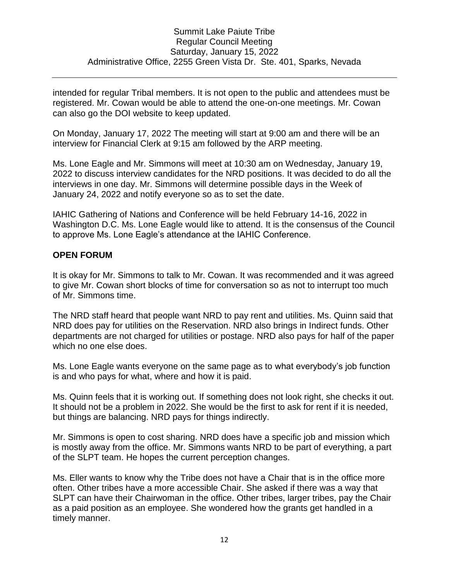intended for regular Tribal members. It is not open to the public and attendees must be registered. Mr. Cowan would be able to attend the one-on-one meetings. Mr. Cowan can also go the DOI website to keep updated.

On Monday, January 17, 2022 The meeting will start at 9:00 am and there will be an interview for Financial Clerk at 9:15 am followed by the ARP meeting.

Ms. Lone Eagle and Mr. Simmons will meet at 10:30 am on Wednesday, January 19, 2022 to discuss interview candidates for the NRD positions. It was decided to do all the interviews in one day. Mr. Simmons will determine possible days in the Week of January 24, 2022 and notify everyone so as to set the date.

IAHIC Gathering of Nations and Conference will be held February 14-16, 2022 in Washington D.C. Ms. Lone Eagle would like to attend. It is the consensus of the Council to approve Ms. Lone Eagle's attendance at the IAHIC Conference.

#### **OPEN FORUM**

It is okay for Mr. Simmons to talk to Mr. Cowan. It was recommended and it was agreed to give Mr. Cowan short blocks of time for conversation so as not to interrupt too much of Mr. Simmons time.

The NRD staff heard that people want NRD to pay rent and utilities. Ms. Quinn said that NRD does pay for utilities on the Reservation. NRD also brings in Indirect funds. Other departments are not charged for utilities or postage. NRD also pays for half of the paper which no one else does.

Ms. Lone Eagle wants everyone on the same page as to what everybody's job function is and who pays for what, where and how it is paid.

Ms. Quinn feels that it is working out. If something does not look right, she checks it out. It should not be a problem in 2022. She would be the first to ask for rent if it is needed, but things are balancing. NRD pays for things indirectly.

Mr. Simmons is open to cost sharing. NRD does have a specific job and mission which is mostly away from the office. Mr. Simmons wants NRD to be part of everything, a part of the SLPT team. He hopes the current perception changes.

Ms. Eller wants to know why the Tribe does not have a Chair that is in the office more often. Other tribes have a more accessible Chair. She asked if there was a way that SLPT can have their Chairwoman in the office. Other tribes, larger tribes, pay the Chair as a paid position as an employee. She wondered how the grants get handled in a timely manner.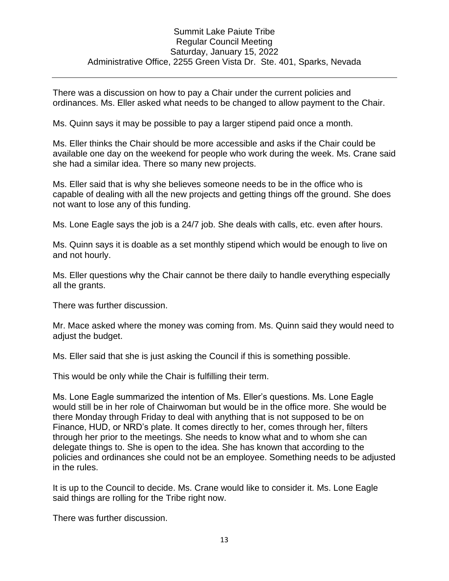There was a discussion on how to pay a Chair under the current policies and ordinances. Ms. Eller asked what needs to be changed to allow payment to the Chair.

Ms. Quinn says it may be possible to pay a larger stipend paid once a month.

Ms. Eller thinks the Chair should be more accessible and asks if the Chair could be available one day on the weekend for people who work during the week. Ms. Crane said she had a similar idea. There so many new projects.

Ms. Eller said that is why she believes someone needs to be in the office who is capable of dealing with all the new projects and getting things off the ground. She does not want to lose any of this funding.

Ms. Lone Eagle says the job is a 24/7 job. She deals with calls, etc. even after hours.

Ms. Quinn says it is doable as a set monthly stipend which would be enough to live on and not hourly.

Ms. Eller questions why the Chair cannot be there daily to handle everything especially all the grants.

There was further discussion.

Mr. Mace asked where the money was coming from. Ms. Quinn said they would need to adjust the budget.

Ms. Eller said that she is just asking the Council if this is something possible.

This would be only while the Chair is fulfilling their term.

Ms. Lone Eagle summarized the intention of Ms. Eller's questions. Ms. Lone Eagle would still be in her role of Chairwoman but would be in the office more. She would be there Monday through Friday to deal with anything that is not supposed to be on Finance, HUD, or NRD's plate. It comes directly to her, comes through her, filters through her prior to the meetings. She needs to know what and to whom she can delegate things to. She is open to the idea. She has known that according to the policies and ordinances she could not be an employee. Something needs to be adjusted in the rules.

It is up to the Council to decide. Ms. Crane would like to consider it. Ms. Lone Eagle said things are rolling for the Tribe right now.

There was further discussion.